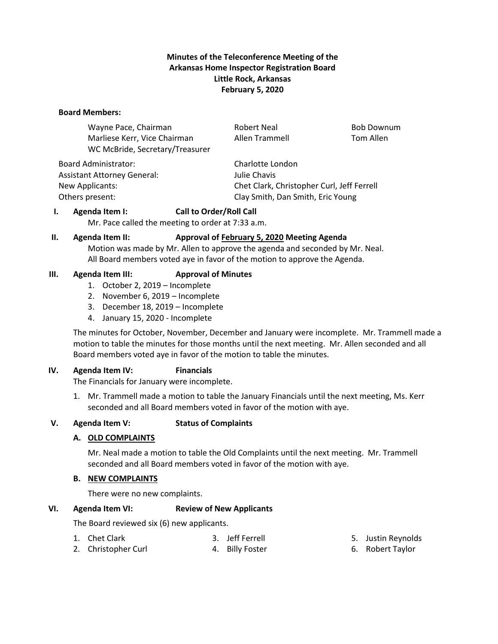# **Minutes of the Teleconference Meeting of the Arkansas Home Inspector Registration Board Little Rock, Arkansas February 5, 2020**

#### **Board Members:**

Wayne Pace, Chairman **Robert Neal Bob Downum** Robert Neal Bob Downum Marliese Kerr, Vice Chairman and Allen Trammell Tom Allen WC McBride, Secretary/Treasurer

Board Administrator: Charlotte London Assistant Attorney General: Julie Chavis

New Applicants: Chet Clark, Christopher Curl, Jeff Ferrell Others present: Clay Smith, Dan Smith, Eric Young

### **I. Agenda Item I: Call to Order/Roll Call**

Mr. Pace called the meeting to order at 7:33 a.m.

### **II. Agenda Item II: Approval of February 5, 2020 Meeting Agenda**

Motion was made by Mr. Allen to approve the agenda and seconded by Mr. Neal. All Board members voted aye in favor of the motion to approve the Agenda.

### **III. Agenda Item III: Approval of Minutes**

- 1. October 2, 2019 Incomplete
- 2. November 6, 2019 Incomplete
- 3. December 18, 2019 Incomplete
- 4. January 15, 2020 Incomplete

The minutes for October, November, December and January were incomplete. Mr. Trammell made a motion to table the minutes for those months until the next meeting. Mr. Allen seconded and all Board members voted aye in favor of the motion to table the minutes.

### **IV. Agenda Item IV: Financials**

The Financials for January were incomplete.

1. Mr. Trammell made a motion to table the January Financials until the next meeting, Ms. Kerr seconded and all Board members voted in favor of the motion with aye.

### **V. Agenda Item V: Status of Complaints**

### **A. OLD COMPLAINTS**

Mr. Neal made a motion to table the Old Complaints until the next meeting. Mr. Trammell seconded and all Board members voted in favor of the motion with aye.

### **B. NEW COMPLAINTS**

2. Christopher Curl

There were no new complaints.

### **VI. Agenda Item VI: Review of New Applicants**

The Board reviewed six (6) new applicants.

- 1. Chet Clark
	- 3. Jeff Ferrell 4. Billy Foster
- 5. Justin Reynolds
- 6. Robert Taylor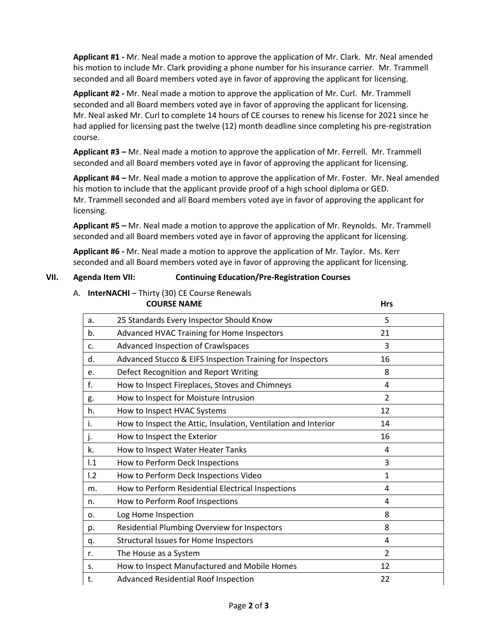**Applicant #1 -** Mr. Neal made a motion to approve the application of Mr. Clark. Mr. Neal amended his motion to include Mr. Clark providing a phone number for his insurance carrier. Mr. Trammell seconded and all Board members voted aye in favor of approving the applicant for licensing.

**Applicant #2 -** Mr. Neal made a motion to approve the application of Mr. Curl. Mr. Trammell seconded and all Board members voted aye in favor of approving the applicant for licensing. Mr. Neal asked Mr. Curl to complete 14 hours of CE courses to renew his license for 2021 since he had applied for licensing past the twelve (12) month deadline since completing his pre-registration course.

**Applicant #3 –** Mr. Neal made a motion to approve the application of Mr. Ferrell. Mr. Trammell seconded and all Board members voted aye in favor of approving the applicant for licensing.

**Applicant #4 –** Mr. Neal made a motion to approve the application of Mr. Foster. Mr. Neal amended his motion to include that the applicant provide proof of a high school diploma or GED. Mr. Trammell seconded and all Board members voted aye in favor of approving the applicant for licensing.

**Applicant #5 –** Mr. Neal made a motion to approve the application of Mr. Reynolds. Mr. Trammell seconded and all Board members voted aye in favor of approving the applicant for licensing.

**Applicant #6 -** Mr. Neal made a motion to approve the application of Mr. Taylor. Ms. Kerr seconded and all Board members voted aye in favor of approving the applicant for licensing.

### **VII. Agenda Item VII: Continuing Education/Pre-Registration Courses**

# A. **InterNACHI** – Thirty (30) CE Course Renewals

| <b>COURSE NAME</b> |                                                                | <b>Hrs</b>     |  |
|--------------------|----------------------------------------------------------------|----------------|--|
| a.                 | 25 Standards Every Inspector Should Know                       | 5              |  |
| b.                 | Advanced HVAC Training for Home Inspectors                     | 21             |  |
| c.                 | Advanced Inspection of Crawlspaces                             | 3              |  |
| d.                 | Advanced Stucco & EIFS Inspection Training for Inspectors      | 16             |  |
| e.                 | Defect Recognition and Report Writing                          | 8              |  |
| f.                 | How to Inspect Fireplaces, Stoves and Chimneys                 | 4              |  |
| g.                 | How to Inspect for Moisture Intrusion                          | $\overline{2}$ |  |
| h.                 | How to Inspect HVAC Systems                                    | 12             |  |
| i.                 | How to Inspect the Attic, Insulation, Ventilation and Interior | 14             |  |
| j.                 | How to Inspect the Exterior                                    | 16             |  |
| k.                 | How to Inspect Water Heater Tanks                              | 4              |  |
| 1.1                | How to Perform Deck Inspections                                | 3              |  |
| 1.2                | How to Perform Deck Inspections Video                          | $\mathbf{1}$   |  |
| m.                 | How to Perform Residential Electrical Inspections              | 4              |  |
| n.                 | How to Perform Roof Inspections                                | 4              |  |
| 0.                 | Log Home Inspection                                            | 8              |  |
| p.                 | Residential Plumbing Overview for Inspectors                   | 8              |  |
| q.                 | <b>Structural Issues for Home Inspectors</b>                   | 4              |  |
| r.                 | The House as a System                                          | 2              |  |
| s.                 | How to Inspect Manufactured and Mobile Homes                   | 12             |  |
| t.                 | <b>Advanced Residential Roof Inspection</b>                    | 22             |  |